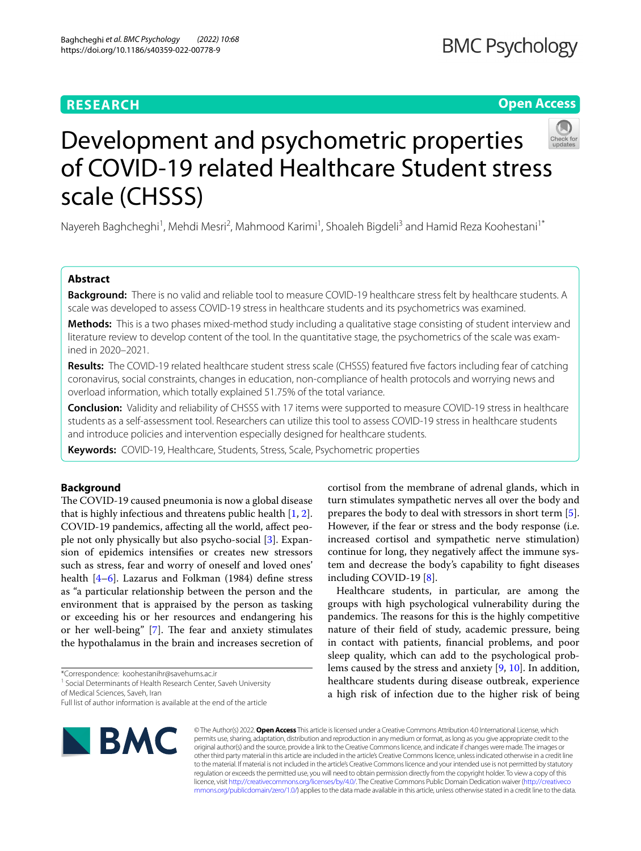# **RESEARCH**

# **Open Access**



# Development and psychometric properties of COVID-19 related Healthcare Student stress scale (CHSSS)

Nayereh Baghcheghi<sup>1</sup>, Mehdi Mesri<sup>2</sup>, Mahmood Karimi<sup>1</sup>, Shoaleh Bigdeli<sup>3</sup> and Hamid Reza Koohestani<sup>1\*</sup>

## **Abstract**

**Background:** There is no valid and reliable tool to measure COVID-19 healthcare stress felt by healthcare students. A scale was developed to assess COVID-19 stress in healthcare students and its psychometrics was examined.

**Methods:** This is a two phases mixed-method study including a qualitative stage consisting of student interview and literature review to develop content of the tool. In the quantitative stage, the psychometrics of the scale was examined in 2020–2021.

**Results:** The COVID-19 related healthcare student stress scale (CHSSS) featured fve factors including fear of catching coronavirus, social constraints, changes in education, non-compliance of health protocols and worrying news and overload information, which totally explained 51.75% of the total variance.

**Conclusion:** Validity and reliability of CHSSS with 17 items were supported to measure COVID-19 stress in healthcare students as a self-assessment tool. Researchers can utilize this tool to assess COVID-19 stress in healthcare students and introduce policies and intervention especially designed for healthcare students.

**Keywords:** COVID-19, Healthcare, Students, Stress, Scale, Psychometric properties

## **Background**

The COVID-19 caused pneumonia is now a global disease that is highly infectious and threatens public health [[1,](#page-6-0) [2](#page-6-1)]. COVID-19 pandemics, afecting all the world, afect people not only physically but also psycho-social [\[3](#page-6-2)]. Expansion of epidemics intensifes or creates new stressors such as stress, fear and worry of oneself and loved ones' health [\[4](#page-6-3)[–6\]](#page-6-4). Lazarus and Folkman (1984) defne stress as "a particular relationship between the person and the environment that is appraised by the person as tasking or exceeding his or her resources and endangering his or her well-being" [[7](#page-6-5)]. The fear and anxiety stimulates the hypothalamus in the brain and increases secretion of

\*Correspondence: koohestanihr@savehums.ac.ir

<sup>1</sup> Social Determinants of Health Research Center, Saveh University of Medical Sciences, Saveh, Iran

Full list of author information is available at the end of the article



cortisol from the membrane of adrenal glands, which in turn stimulates sympathetic nerves all over the body and prepares the body to deal with stressors in short term [\[5](#page-6-6)]. However, if the fear or stress and the body response (i.e. increased cortisol and sympathetic nerve stimulation) continue for long, they negatively afect the immune system and decrease the body's capability to fght diseases including COVID-19 [\[8](#page-6-7)].

Healthcare students, in particular, are among the groups with high psychological vulnerability during the pandemics. The reasons for this is the highly competitive nature of their feld of study, academic pressure, being in contact with patients, fnancial problems, and poor sleep quality, which can add to the psychological problems caused by the stress and anxiety [\[9](#page-6-8), [10\]](#page-6-9). In addition, healthcare students during disease outbreak, experience a high risk of infection due to the higher risk of being

© The Author(s) 2022. **Open Access** This article is licensed under a Creative Commons Attribution 4.0 International License, which permits use, sharing, adaptation, distribution and reproduction in any medium or format, as long as you give appropriate credit to the original author(s) and the source, provide a link to the Creative Commons licence, and indicate if changes were made. The images or other third party material in this article are included in the article's Creative Commons licence, unless indicated otherwise in a credit line to the material. If material is not included in the article's Creative Commons licence and your intended use is not permitted by statutory regulation or exceeds the permitted use, you will need to obtain permission directly from the copyright holder. To view a copy of this licence, visit [http://creativecommons.org/licenses/by/4.0/.](http://creativecommons.org/licenses/by/4.0/) The Creative Commons Public Domain Dedication waiver ([http://creativeco](http://creativecommons.org/publicdomain/zero/1.0/) [mmons.org/publicdomain/zero/1.0/](http://creativecommons.org/publicdomain/zero/1.0/)) applies to the data made available in this article, unless otherwise stated in a credit line to the data.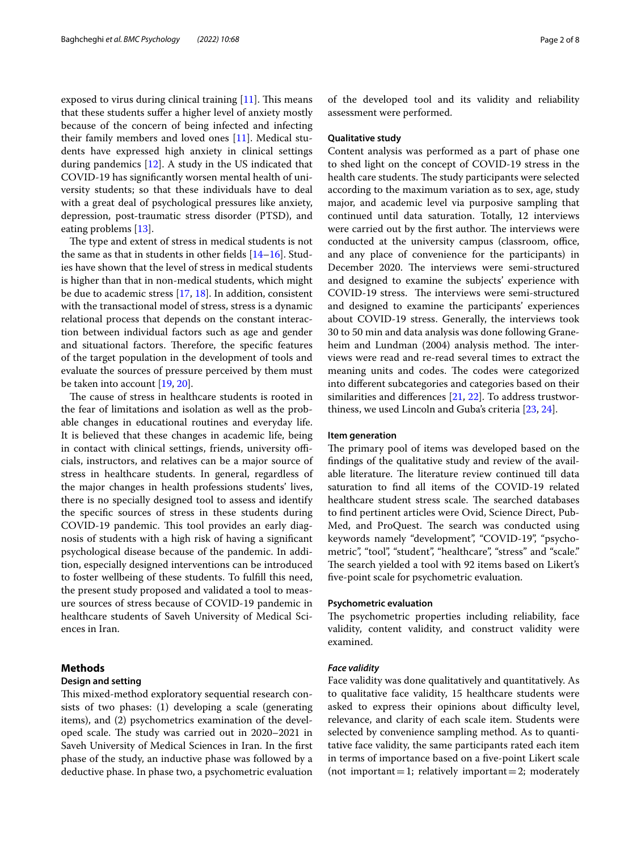exposed to virus during clinical training  $[11]$  $[11]$ . This means that these students sufer a higher level of anxiety mostly because of the concern of being infected and infecting their family members and loved ones [\[11](#page-6-10)]. Medical students have expressed high anxiety in clinical settings during pandemics [\[12](#page-6-11)]. A study in the US indicated that COVID-19 has signifcantly worsen mental health of university students; so that these individuals have to deal with a great deal of psychological pressures like anxiety, depression, post-traumatic stress disorder (PTSD), and eating problems [[13\]](#page-6-12).

The type and extent of stress in medical students is not the same as that in students in other felds [[14–](#page-6-13)[16](#page-6-14)]. Studies have shown that the level of stress in medical students is higher than that in non-medical students, which might be due to academic stress [[17,](#page-6-15) [18](#page-6-16)]. In addition, consistent with the transactional model of stress, stress is a dynamic relational process that depends on the constant interaction between individual factors such as age and gender and situational factors. Therefore, the specific features of the target population in the development of tools and evaluate the sources of pressure perceived by them must be taken into account [[19,](#page-7-0) [20](#page-7-1)].

The cause of stress in healthcare students is rooted in the fear of limitations and isolation as well as the probable changes in educational routines and everyday life. It is believed that these changes in academic life, being in contact with clinical settings, friends, university officials, instructors, and relatives can be a major source of stress in healthcare students. In general, regardless of the major changes in health professions students' lives, there is no specially designed tool to assess and identify the specifc sources of stress in these students during COVID-19 pandemic. This tool provides an early diagnosis of students with a high risk of having a signifcant psychological disease because of the pandemic. In addition, especially designed interventions can be introduced to foster wellbeing of these students. To fulfll this need, the present study proposed and validated a tool to measure sources of stress because of COVID-19 pandemic in healthcare students of Saveh University of Medical Sciences in Iran.

## **Methods**

## **Design and setting**

This mixed-method exploratory sequential research consists of two phases: (1) developing a scale (generating items), and (2) psychometrics examination of the developed scale. The study was carried out in 2020–2021 in Saveh University of Medical Sciences in Iran. In the frst phase of the study, an inductive phase was followed by a deductive phase. In phase two, a psychometric evaluation of the developed tool and its validity and reliability assessment were performed.

## **Qualitative study**

Content analysis was performed as a part of phase one to shed light on the concept of COVID-19 stress in the health care students. The study participants were selected according to the maximum variation as to sex, age, study major, and academic level via purposive sampling that continued until data saturation. Totally, 12 interviews were carried out by the first author. The interviews were conducted at the university campus (classroom, office, and any place of convenience for the participants) in December 2020. The interviews were semi-structured and designed to examine the subjects' experience with COVID-19 stress. The interviews were semi-structured and designed to examine the participants' experiences about COVID-19 stress. Generally, the interviews took 30 to 50 min and data analysis was done following Graneheim and Lundman (2004) analysis method. The interviews were read and re-read several times to extract the meaning units and codes. The codes were categorized into diferent subcategories and categories based on their similarities and diferences [\[21](#page-7-2), [22\]](#page-7-3). To address trustworthiness, we used Lincoln and Guba's criteria [[23,](#page-7-4) [24](#page-7-5)].

#### **Item generation**

The primary pool of items was developed based on the fndings of the qualitative study and review of the available literature. The literature review continued till data saturation to fnd all items of the COVID-19 related healthcare student stress scale. The searched databases to fnd pertinent articles were Ovid, Science Direct, Pub-Med, and ProQuest. The search was conducted using keywords namely "development", "COVID-19", "psychometric", "tool", "student", "healthcare", "stress" and "scale." The search yielded a tool with 92 items based on Likert's fve-point scale for psychometric evaluation.

## **Psychometric evaluation**

The psychometric properties including reliability, face validity, content validity, and construct validity were examined.

### *Face validity*

Face validity was done qualitatively and quantitatively. As to qualitative face validity, 15 healthcare students were asked to express their opinions about difficulty level, relevance, and clarity of each scale item. Students were selected by convenience sampling method. As to quantitative face validity, the same participants rated each item in terms of importance based on a fve-point Likert scale (not important = 1; relatively important = 2; moderately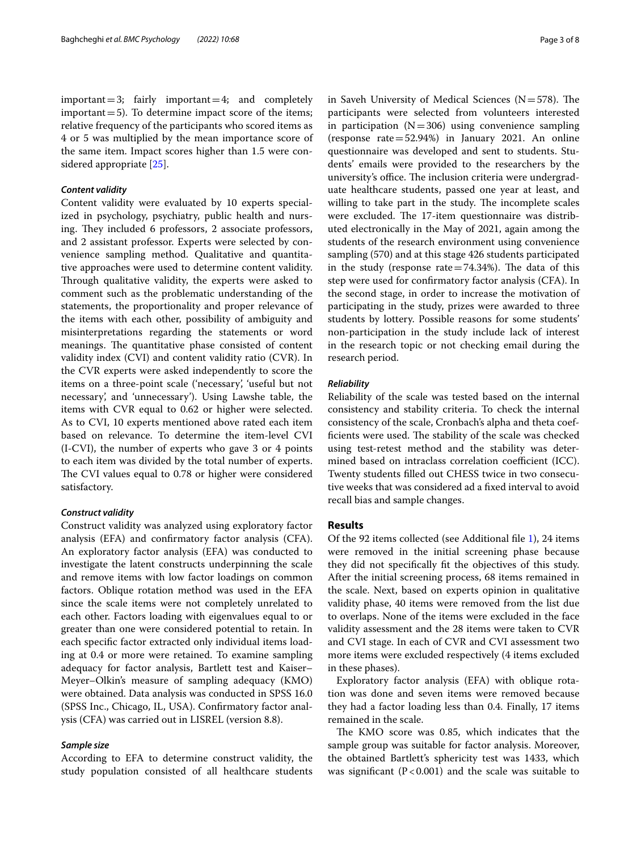$important = 3$ ; fairly important = 4; and completely important  $=$  5). To determine impact score of the items; relative frequency of the participants who scored items as 4 or 5 was multiplied by the mean importance score of the same item. Impact scores higher than 1.5 were considered appropriate [[25\]](#page-7-6).

#### *Content validity*

Content validity were evaluated by 10 experts specialized in psychology, psychiatry, public health and nursing. They included 6 professors, 2 associate professors, and 2 assistant professor. Experts were selected by convenience sampling method. Qualitative and quantitative approaches were used to determine content validity. Through qualitative validity, the experts were asked to comment such as the problematic understanding of the statements, the proportionality and proper relevance of the items with each other, possibility of ambiguity and misinterpretations regarding the statements or word meanings. The quantitative phase consisted of content validity index (CVI) and content validity ratio (CVR). In the CVR experts were asked independently to score the items on a three-point scale ('necessary', 'useful but not necessary', and 'unnecessary'). Using Lawshe table, the items with CVR equal to 0.62 or higher were selected. As to CVI, 10 experts mentioned above rated each item based on relevance. To determine the item-level CVI (I-CVI), the number of experts who gave 3 or 4 points to each item was divided by the total number of experts. The CVI values equal to 0.78 or higher were considered satisfactory.

## *Construct validity*

Construct validity was analyzed using exploratory factor analysis (EFA) and confrmatory factor analysis (CFA). An exploratory factor analysis (EFA) was conducted to investigate the latent constructs underpinning the scale and remove items with low factor loadings on common factors. Oblique rotation method was used in the EFA since the scale items were not completely unrelated to each other. Factors loading with eigenvalues equal to or greater than one were considered potential to retain. In each specifc factor extracted only individual items loading at 0.4 or more were retained. To examine sampling adequacy for factor analysis, Bartlett test and Kaiser– Meyer–Olkin's measure of sampling adequacy (KMO) were obtained. Data analysis was conducted in SPSS 16.0 (SPSS Inc., Chicago, IL, USA). Confrmatory factor analysis (CFA) was carried out in LISREL (version 8.8).

## *Sample size*

According to EFA to determine construct validity, the study population consisted of all healthcare students in Saveh University of Medical Sciences ( $N=578$ ). The participants were selected from volunteers interested in participation  $(N=306)$  using convenience sampling (response rate=52.94%) in January 2021. An online questionnaire was developed and sent to students. Students' emails were provided to the researchers by the university's office. The inclusion criteria were undergraduate healthcare students, passed one year at least, and willing to take part in the study. The incomplete scales were excluded. The 17-item questionnaire was distributed electronically in the May of 2021, again among the students of the research environment using convenience sampling (570) and at this stage 426 students participated in the study (response rate $=74.34%$ ). The data of this step were used for confrmatory factor analysis (CFA). In the second stage, in order to increase the motivation of participating in the study, prizes were awarded to three students by lottery. Possible reasons for some students' non-participation in the study include lack of interest in the research topic or not checking email during the research period.

#### *Reliability*

Reliability of the scale was tested based on the internal consistency and stability criteria. To check the internal consistency of the scale, Cronbach's alpha and theta coefficients were used. The stability of the scale was checked using test-retest method and the stability was determined based on intraclass correlation coefficient (ICC). Twenty students flled out CHESS twice in two consecutive weeks that was considered ad a fxed interval to avoid recall bias and sample changes.

#### **Results**

Of the 92 items collected (see Additional fle [1\)](#page-6-17), 24 items were removed in the initial screening phase because they did not specifcally ft the objectives of this study. After the initial screening process, 68 items remained in the scale. Next, based on experts opinion in qualitative validity phase, 40 items were removed from the list due to overlaps. None of the items were excluded in the face validity assessment and the 28 items were taken to CVR and CVI stage. In each of CVR and CVI assessment two more items were excluded respectively (4 items excluded in these phases).

Exploratory factor analysis (EFA) with oblique rotation was done and seven items were removed because they had a factor loading less than 0.4. Finally, 17 items remained in the scale.

The KMO score was 0.85, which indicates that the sample group was suitable for factor analysis. Moreover, the obtained Bartlett's sphericity test was 1433, which was significant ( $P < 0.001$ ) and the scale was suitable to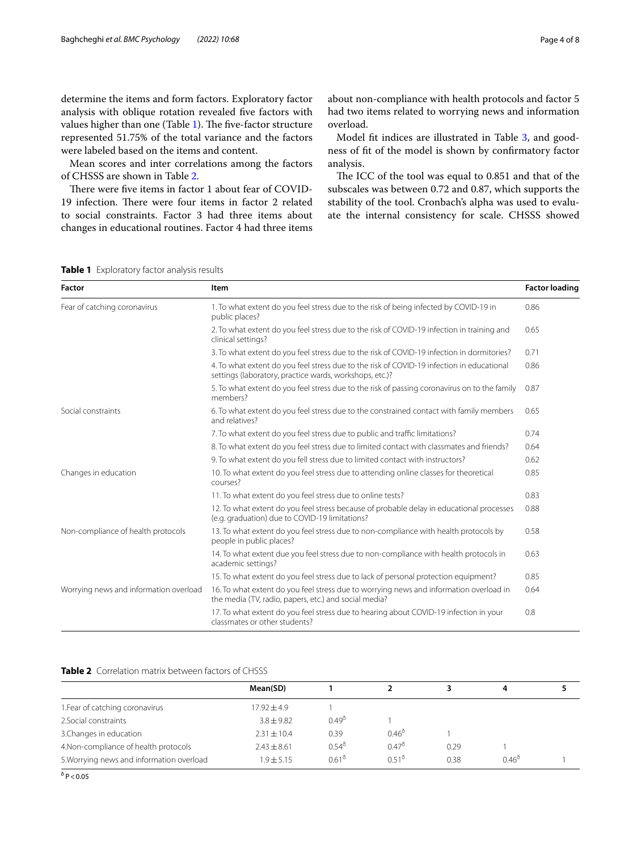determine the items and form factors. Exploratory factor analysis with oblique rotation revealed fve factors with values higher than one (Table [1\)](#page-3-0). The five-factor structure represented 51.75% of the total variance and the factors were labeled based on the items and content.

Mean scores and inter correlations among the factors of CHSSS are shown in Table [2.](#page-3-1)

There were five items in factor 1 about fear of COVID-19 infection. There were four items in factor 2 related to social constraints. Factor 3 had three items about changes in educational routines. Factor 4 had three items

about non-compliance with health protocols and factor 5 had two items related to worrying news and information overload.

Model ft indices are illustrated in Table [3](#page-4-0), and goodness of ft of the model is shown by confrmatory factor analysis.

The ICC of the tool was equal to 0.851 and that of the subscales was between 0.72 and 0.87, which supports the stability of the tool. Cronbach's alpha was used to evaluate the internal consistency for scale. CHSSS showed

<span id="page-3-0"></span>**Table 1** Exploratory factor analysis results

| <b>Factor</b>                          | Item                                                                                                                                                 | <b>Factor loading</b> |
|----------------------------------------|------------------------------------------------------------------------------------------------------------------------------------------------------|-----------------------|
| Fear of catching coronavirus           | 1. To what extent do you feel stress due to the risk of being infected by COVID-19 in<br>public places?                                              | 0.86                  |
|                                        | 2. To what extent do you feel stress due to the risk of COVID-19 infection in training and<br>clinical settings?                                     | 0.65                  |
|                                        | 3. To what extent do you feel stress due to the risk of COVID-19 infection in dormitories?                                                           | 0.71                  |
|                                        | 4. To what extent do you feel stress due to the risk of COVID-19 infection in educational<br>settings (laboratory, practice wards, workshops, etc.)? | 0.86                  |
|                                        | 5. To what extent do you feel stress due to the risk of passing coronavirus on to the family<br>members?                                             | 0.87                  |
| Social constraints                     | 6. To what extent do you feel stress due to the constrained contact with family members<br>and relatives?                                            | 0.65                  |
|                                        | 7. To what extent do you feel stress due to public and traffic limitations?                                                                          | 0.74                  |
|                                        | 8. To what extent do you feel stress due to limited contact with classmates and friends?                                                             | 0.64                  |
|                                        | 9. To what extent do you fell stress due to limited contact with instructors?                                                                        | 0.62                  |
| Changes in education                   | 10. To what extent do you feel stress due to attending online classes for theoretical<br>courses?                                                    | 0.85                  |
|                                        | 11. To what extent do you feel stress due to online tests?                                                                                           | 0.83                  |
|                                        | 12. To what extent do you feel stress because of probable delay in educational processes<br>(e.g. graduation) due to COVID-19 limitations?           | 0.88                  |
| Non-compliance of health protocols     | 13. To what extent do you feel stress due to non-compliance with health protocols by<br>people in public places?                                     | 0.58                  |
|                                        | 14. To what extent due you feel stress due to non-compliance with health protocols in<br>academic settings?                                          | 0.63                  |
|                                        | 15. To what extent do you feel stress due to lack of personal protection equipment?                                                                  | 0.85                  |
| Worrying news and information overload | 16. To what extent do you feel stress due to worrying news and information overload in<br>the media (TV, radio, papers, etc.) and social media?      | 0.64                  |
|                                        | 17. To what extent do you feel stress due to hearing about COVID-19 infection in your<br>classmates or other students?                               | 0.8                   |

## <span id="page-3-1"></span>**Table 2** Correlation matrix between factors of CHSSS

|                                           | Mean(SD)        |                 |                 |      | 4              |  |
|-------------------------------------------|-----------------|-----------------|-----------------|------|----------------|--|
| 1. Fear of catching coronavirus           | $17.92 + 4.9$   |                 |                 |      |                |  |
| 2. Social constraints                     | $3.8 \pm 9.82$  | $0.49^{\circ}$  |                 |      |                |  |
| 3. Changes in education                   | $2.31 \pm 10.4$ | 0.39            | $0.46^{\delta}$ |      |                |  |
| 4. Non-compliance of health protocols     | $2.43 \pm 8.61$ | $0.54^{\delta}$ | $0.47^{\delta}$ | 0.29 |                |  |
| 5. Worrying news and information overload | $1.9 + 5.15$    | $0.61^{\circ}$  | $0.51^{0}$      | 0.38 | $0.46^{\circ}$ |  |

 $^{\delta}$  P  $<$  0.05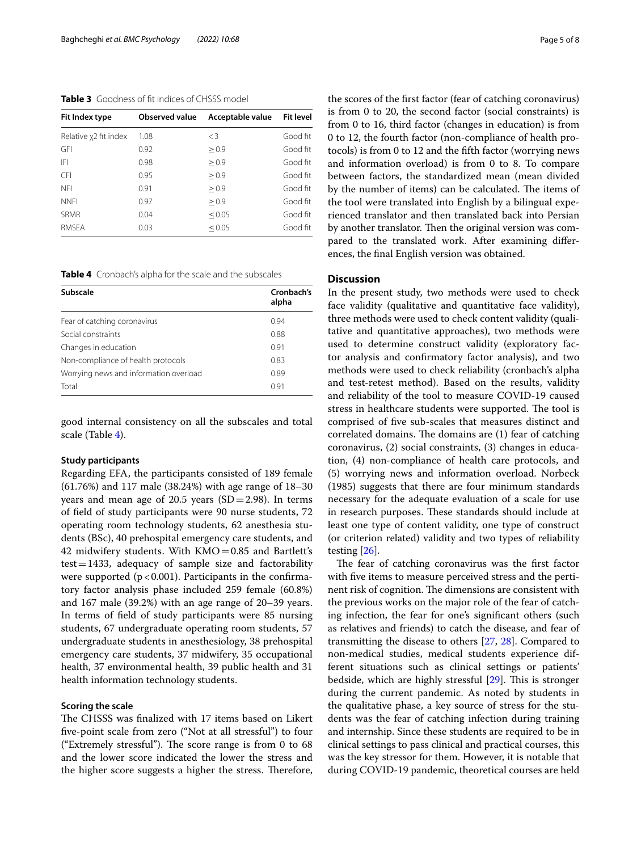## <span id="page-4-0"></span>**Table 3** Goodness of ft indices of CHSSS model

| Fit Index type        | <b>Observed value</b> | Acceptable value | <b>Fit level</b> |
|-----------------------|-----------------------|------------------|------------------|
| Relative x2 fit index | 1.08                  | $\lt$ 3          | Good fit         |
| <b>GFI</b>            | 0.92                  | > 0.9            | Good fit         |
| IFI                   | 0.98                  | > 0.9            | Good fit         |
| <b>CFI</b>            | 0.95                  | > 0.9            | Good fit         |
| <b>NFI</b>            | 0.91                  | > 0.9            | Good fit         |
| <b>NNFI</b>           | 0.97                  | > 0.9            | Good fit         |
| <b>SRMR</b>           | 0.04                  | < 0.05           | Good fit         |
| <b>RMSFA</b>          | 0.03                  | < 0.05           | Good fit         |

<span id="page-4-1"></span>**Table 4** Cronbach's alpha for the scale and the subscales

| Subscale                               | Cronbach's<br>alpha |
|----------------------------------------|---------------------|
| Fear of catching coronavirus           | 0.94                |
| Social constraints                     | 0.88                |
| Changes in education                   | 0.91                |
| Non-compliance of health protocols     | 0.83                |
| Worrying news and information overload | 0.89                |
| Total                                  | 0.91                |

good internal consistency on all the subscales and total scale (Table [4\)](#page-4-1).

## **Study participants**

Regarding EFA, the participants consisted of 189 female (61.76%) and 117 male (38.24%) with age range of 18–30 years and mean age of 20.5 years  $(SD=2.98)$ . In terms of feld of study participants were 90 nurse students, 72 operating room technology students, 62 anesthesia students (BSc), 40 prehospital emergency care students, and 42 midwifery students. With KMO=0.85 and Bartlett's  $test = 1433$ , adequacy of sample size and factorability were supported ( $p < 0.001$ ). Participants in the confirmatory factor analysis phase included 259 female (60.8%) and 167 male (39.2%) with an age range of 20–39 years. In terms of feld of study participants were 85 nursing students, 67 undergraduate operating room students, 57 undergraduate students in anesthesiology, 38 prehospital emergency care students, 37 midwifery, 35 occupational health, 37 environmental health, 39 public health and 31 health information technology students.

### **Scoring the scale**

The CHSSS was finalized with 17 items based on Likert fve-point scale from zero ("Not at all stressful") to four ("Extremely stressful"). The score range is from 0 to  $68$ and the lower score indicated the lower the stress and the higher score suggests a higher the stress. Therefore, the scores of the frst factor (fear of catching coronavirus) is from 0 to 20, the second factor (social constraints) is from 0 to 16, third factor (changes in education) is from 0 to 12, the fourth factor (non-compliance of health protocols) is from 0 to 12 and the ffth factor (worrying news and information overload) is from 0 to 8. To compare between factors, the standardized mean (mean divided by the number of items) can be calculated. The items of the tool were translated into English by a bilingual experienced translator and then translated back into Persian by another translator. Then the original version was compared to the translated work. After examining diferences, the fnal English version was obtained.

## **Discussion**

In the present study, two methods were used to check face validity (qualitative and quantitative face validity), three methods were used to check content validity (qualitative and quantitative approaches), two methods were used to determine construct validity (exploratory factor analysis and confrmatory factor analysis), and two methods were used to check reliability (cronbach's alpha and test-retest method). Based on the results, validity and reliability of the tool to measure COVID-19 caused stress in healthcare students were supported. The tool is comprised of fve sub-scales that measures distinct and correlated domains. The domains are (1) fear of catching coronavirus, (2) social constraints, (3) changes in education, (4) non-compliance of health care protocols, and (5) worrying news and information overload. Norbeck (1985) suggests that there are four minimum standards necessary for the adequate evaluation of a scale for use in research purposes. These standards should include at least one type of content validity, one type of construct (or criterion related) validity and two types of reliability testing [[26\]](#page-7-7).

The fear of catching coronavirus was the first factor with five items to measure perceived stress and the pertinent risk of cognition. The dimensions are consistent with the previous works on the major role of the fear of catching infection, the fear for one's signifcant others (such as relatives and friends) to catch the disease, and fear of transmitting the disease to others [\[27](#page-7-8), [28](#page-7-9)]. Compared to non-medical studies, medical students experience different situations such as clinical settings or patients' bedside, which are highly stressful  $[29]$  $[29]$ . This is stronger during the current pandemic. As noted by students in the qualitative phase, a key source of stress for the students was the fear of catching infection during training and internship. Since these students are required to be in clinical settings to pass clinical and practical courses, this was the key stressor for them. However, it is notable that during COVID-19 pandemic, theoretical courses are held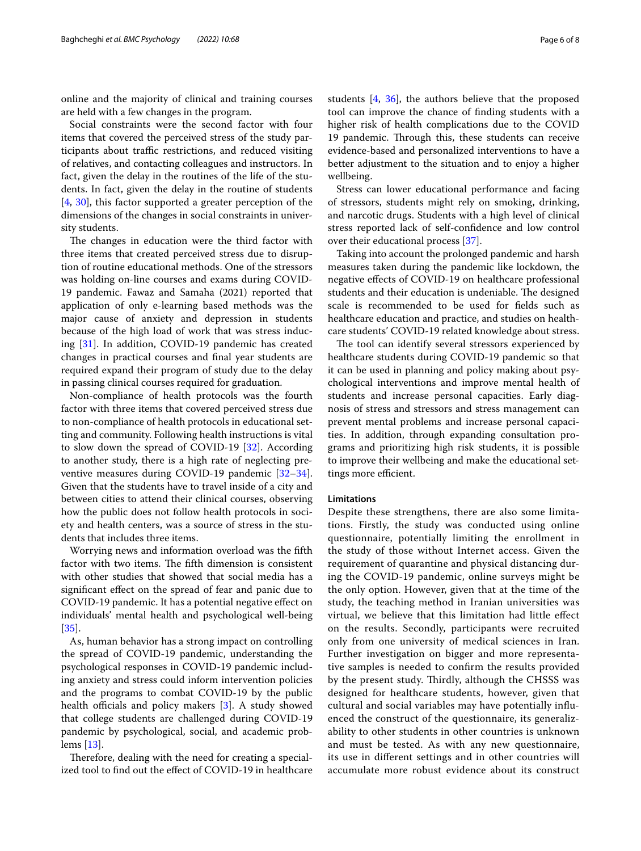online and the majority of clinical and training courses are held with a few changes in the program.

Social constraints were the second factor with four items that covered the perceived stress of the study participants about traffic restrictions, and reduced visiting of relatives, and contacting colleagues and instructors. In fact, given the delay in the routines of the life of the students. In fact, given the delay in the routine of students [[4,](#page-6-3) [30](#page-7-11)], this factor supported a greater perception of the dimensions of the changes in social constraints in university students.

The changes in education were the third factor with three items that created perceived stress due to disruption of routine educational methods. One of the stressors was holding on-line courses and exams during COVID-19 pandemic. Fawaz and Samaha (2021) reported that application of only e-learning based methods was the major cause of anxiety and depression in students because of the high load of work that was stress inducing [[31\]](#page-7-12). In addition, COVID-19 pandemic has created changes in practical courses and fnal year students are required expand their program of study due to the delay in passing clinical courses required for graduation.

Non-compliance of health protocols was the fourth factor with three items that covered perceived stress due to non-compliance of health protocols in educational setting and community. Following health instructions is vital to slow down the spread of COVID-19 [\[32\]](#page-7-13). According to another study, there is a high rate of neglecting preventive measures during COVID-19 pandemic [[32](#page-7-13)[–34](#page-7-14)]. Given that the students have to travel inside of a city and between cities to attend their clinical courses, observing how the public does not follow health protocols in society and health centers, was a source of stress in the students that includes three items.

Worrying news and information overload was the ffth factor with two items. The fifth dimension is consistent with other studies that showed that social media has a signifcant efect on the spread of fear and panic due to COVID-19 pandemic. It has a potential negative efect on individuals' mental health and psychological well-being [[35\]](#page-7-15).

As, human behavior has a strong impact on controlling the spread of COVID-19 pandemic, understanding the psychological responses in COVID-19 pandemic including anxiety and stress could inform intervention policies and the programs to combat COVID-19 by the public health officials and policy makers  $[3]$  $[3]$ . A study showed that college students are challenged during COVID-19 pandemic by psychological, social, and academic problems [\[13](#page-6-12)].

Therefore, dealing with the need for creating a specialized tool to fnd out the efect of COVID-19 in healthcare students [[4,](#page-6-3) [36\]](#page-7-16), the authors believe that the proposed tool can improve the chance of fnding students with a higher risk of health complications due to the COVID 19 pandemic. Through this, these students can receive evidence-based and personalized interventions to have a better adjustment to the situation and to enjoy a higher wellbeing.

Stress can lower educational performance and facing of stressors, students might rely on smoking, drinking, and narcotic drugs. Students with a high level of clinical stress reported lack of self-confdence and low control over their educational process [[37\]](#page-7-17).

Taking into account the prolonged pandemic and harsh measures taken during the pandemic like lockdown, the negative efects of COVID-19 on healthcare professional students and their education is undeniable. The designed scale is recommended to be used for felds such as healthcare education and practice, and studies on healthcare students' COVID-19 related knowledge about stress.

The tool can identify several stressors experienced by healthcare students during COVID-19 pandemic so that it can be used in planning and policy making about psychological interventions and improve mental health of students and increase personal capacities. Early diagnosis of stress and stressors and stress management can prevent mental problems and increase personal capacities. In addition, through expanding consultation programs and prioritizing high risk students, it is possible to improve their wellbeing and make the educational settings more efficient.

## **Limitations**

Despite these strengthens, there are also some limitations. Firstly, the study was conducted using online questionnaire, potentially limiting the enrollment in the study of those without Internet access. Given the requirement of quarantine and physical distancing during the COVID-19 pandemic, online surveys might be the only option. However, given that at the time of the study, the teaching method in Iranian universities was virtual, we believe that this limitation had little efect on the results. Secondly, participants were recruited only from one university of medical sciences in Iran. Further investigation on bigger and more representative samples is needed to confrm the results provided by the present study. Thirdly, although the CHSSS was designed for healthcare students, however, given that cultural and social variables may have potentially infuenced the construct of the questionnaire, its generalizability to other students in other countries is unknown and must be tested. As with any new questionnaire, its use in diferent settings and in other countries will accumulate more robust evidence about its construct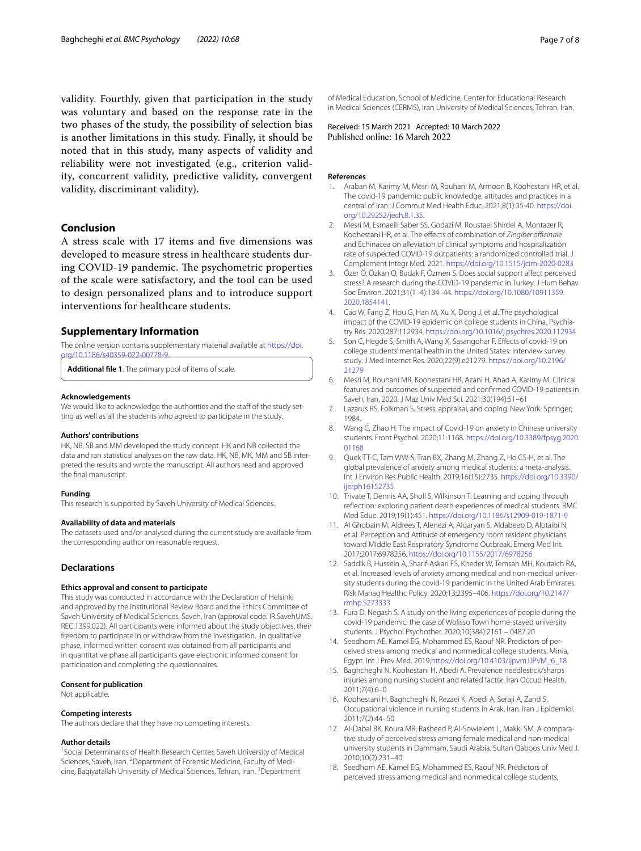validity. Fourthly, given that participation in the study was voluntary and based on the response rate in the two phases of the study, the possibility of selection bias is another limitations in this study. Finally, it should be noted that in this study, many aspects of validity and reliability were not investigated (e.g., criterion validity, concurrent validity, predictive validity, convergent validity, discriminant validity).

## **Conclusion**

A stress scale with 17 items and fve dimensions was developed to measure stress in healthcare students during COVID-19 pandemic. The psychometric properties of the scale were satisfactory, and the tool can be used to design personalized plans and to introduce support interventions for healthcare students.

#### **Supplementary Information**

The online version contains supplementary material available at [https://doi.](https://doi.org/10.1186/s40359-022-00778-9) [org/10.1186/s40359-022-00778-9](https://doi.org/10.1186/s40359-022-00778-9).

<span id="page-6-17"></span>**Additional fle 1**. The primary pool of items of scale.

#### **Acknowledgements**

We would like to acknowledge the authorities and the staff of the study setting as well as all the students who agreed to participate in the study.

#### **Authors' contributions**

HK, NB, SB and MM developed the study concept. HK and NB collected the data and ran statistical analyses on the raw data. HK, NB, MK, MM and SB interpreted the results and wrote the manuscript. All authors read and approved the fnal manuscript.

#### **Funding**

This research is supported by Saveh University of Medical Sciences.

#### **Availability of data and materials**

The datasets used and/or analysed during the current study are available from the corresponding author on reasonable request.

## **Declarations**

## **Ethics approval and consent to participate**

This study was conducted in accordance with the Declaration of Helsinki and approved by the Institutional Review Board and the Ethics Committee of Saveh University of Medical Sciences, Saveh, Iran (approval code: IR.SavehUMS. REC.1399.022). All participants were informed about the study objectives, their freedom to participate in or withdraw from the investigation. In qualitative phase, informed written consent was obtained from all participants and in quantitative phase all participants gave electronic informed consent for participation and completing the questionnaires.

#### **Consent for publication**

Not applicable.

#### **Competing interests**

The authors declare that they have no competing interests.

#### **Author details**

<sup>1</sup> Social Determinants of Health Research Center, Saveh University of Medical Sciences, Saveh, Iran. <sup>2</sup> Department of Forensic Medicine, Faculty of Medicine, Baqiyatallah University of Medical Sciences, Tehran, Iran. <sup>3</sup> Department

of Medical Education, School of Medicine, Center for Educational Research in Medical Sciences (CERMS), Iran University of Medical Sciences, Tehran, Iran.

Received: 15 March 2021 Accepted: 10 March 2022

#### **References**

- <span id="page-6-0"></span>1. Araban M, Karimy M, Mesri M, Rouhani M, Armoon B, Koohestani HR, et al. The covid-19 pandemic: public knowledge, attitudes and practices in a central of Iran. J Commut Med Health Educ. 2021;8(1):35-40. [https://doi.](https://doi.org/10.29252/jech.8.1.35) [org/10.29252/jech.8.1.35](https://doi.org/10.29252/jech.8.1.35).
- <span id="page-6-1"></span>2. Mesri M, Esmaeili Saber SS, Godazi M, Roustaei Shirdel A, Montazer R, Koohestani HR, et al. The effects of combination of *Zingiber officinale* and Echinacea on alleviation of clinical symptoms and hospitalization rate of suspected COVID-19 outpatients: a randomized controlled trial. J Complement Integr Med. 2021. <https://doi.org/10.1515/jcim-2020-0283>
- <span id="page-6-2"></span>3. Özer Ö, Özkan O, Budak F, Özmen S. Does social support afect perceived stress? A research during the COVID-19 pandemic in Turkey. J Hum Behav Soc Environ. 2021;31(1–4):134–44. [https://doi.org/10.1080/10911359.](https://doi.org/10.1080/10911359.2020.1854141) [2020.1854141](https://doi.org/10.1080/10911359.2020.1854141).
- <span id="page-6-3"></span>Cao W, Fang Z, Hou G, Han M, Xu X, Dong J, et al. The psychological impact of the COVID-19 epidemic on college students in China. Psychiatry Res. 2020;287:112934. <https://doi.org/10.1016/j.psychres.2020.112934>
- <span id="page-6-6"></span>5. Son C, Hegde S, Smith A, Wang X, Sasangohar F. Efects of covid-19 on college students' mental health in the United States: interview survey study. J Med Internet Res. 2020;22(9):e21279. [https://doi.org/10.2196/](https://doi.org/10.2196/21279) [21279](https://doi.org/10.2196/21279)
- <span id="page-6-4"></span>6. Mesri M, Rouhani MR, Koohestani HR, Azani H, Ahad A, Karimy M. Clinical features and outcomes of suspected and confrmed COVID-19 patients in Saveh, Iran, 2020. J Maz Univ Med Sci. 2021;30(194):51–61
- <span id="page-6-5"></span>7. Lazarus RS, Folkman S. Stress, appraisal, and coping. New York: Springer; 1984.
- <span id="page-6-7"></span>8. Wang C, Zhao H. The impact of Covid-19 on anxiety in Chinese university students. Front Psychol. 2020;11:1168. [https://doi.org/10.3389/fpsyg.2020.](https://doi.org/10.3389/fpsyg.2020.01168) [01168](https://doi.org/10.3389/fpsyg.2020.01168)
- <span id="page-6-8"></span>Quek TT-C, Tam WW-S, Tran BX, Zhang M, Zhang Z, Ho CS-H, et al. The global prevalence of anxiety among medical students: a meta-analysis. Int J Environ Res Public Health. 2019;16(15):2735. [https://doi.org/10.3390/](https://doi.org/10.3390/ijerph16152735) ijernh16152735
- <span id="page-6-9"></span>10. Trivate T, Dennis AA, Sholl S, Wilkinson T. Learning and coping through refection: exploring patient death experiences of medical students. BMC Med Educ. 2019;19(1):451. <https://doi.org/10.1186/s12909-019-1871-9>
- <span id="page-6-10"></span>11. Al Ghobain M, Aldrees T, Alenezi A, Alqaryan S, Aldabeeb D, Alotaibi N, et al. Perception and Attitude of emergency room resident physicians toward Middle East Respiratory Syndrome Outbreak. Emerg Med Int. 2017;2017:6978256.<https://doi.org/10.1155/2017/6978256>
- <span id="page-6-11"></span>12. Saddik B, Hussein A, Sharif-Askari FS, Kheder W, Temsah MH, Koutaich RA, et al. Increased levels of anxiety among medical and non-medical university students during the covid-19 pandemic in the United Arab Emirates. Risk Manag Healthc Policy. 2020;13:2395–406. [https://doi.org/10.2147/](https://doi.org/10.2147/rmhp.S273333) [rmhp.S273333](https://doi.org/10.2147/rmhp.S273333)
- <span id="page-6-12"></span>13. Fura D, Negash S. A study on the living experiences of people during the covid-19 pandemic: the case of Wolisso Town home-stayed university students. J Psychol Psychother. 2020;10(384):2161 – 0487.20
- <span id="page-6-13"></span>14. Seedhom AE, Kamel EG, Mohammed ES, Raouf NR. Predictors of perceived stress among medical and nonmedical college students, Minia, Egypt. Int J Prev Med. 2019;[https://doi.org/10.4103/ijpvm.IJPVM\\_6\\_18](https://doi.org/10.4103/ijpvm.IJPVM_6_18)
- 15. Baghcheghi N, Koohestani H, Abedi A. Prevalence needlestick/sharps injuries among nursing student and related factor. Iran Occup Health. 2011;7(4):6–0
- <span id="page-6-14"></span>16. Koohestani H, Baghcheghi N, Rezaei K, Abedi A, Seraji A, Zand S. Occupational violence in nursing students in Arak, Iran. Iran J Epidemiol. 2011;7(2):44–50
- <span id="page-6-15"></span>17. Al-Dabal BK, Koura MR, Rasheed P, Al-Sowielem L, Makki SM. A comparative study of perceived stress among female medical and non-medical university students in Dammam, Saudi Arabia. Sultan Qaboos Univ Med J. 2010;10(2):231–40
- <span id="page-6-16"></span>18. Seedhom AE, Kamel EG, Mohammed ES, Raouf NR. Predictors of perceived stress among medical and nonmedical college students,